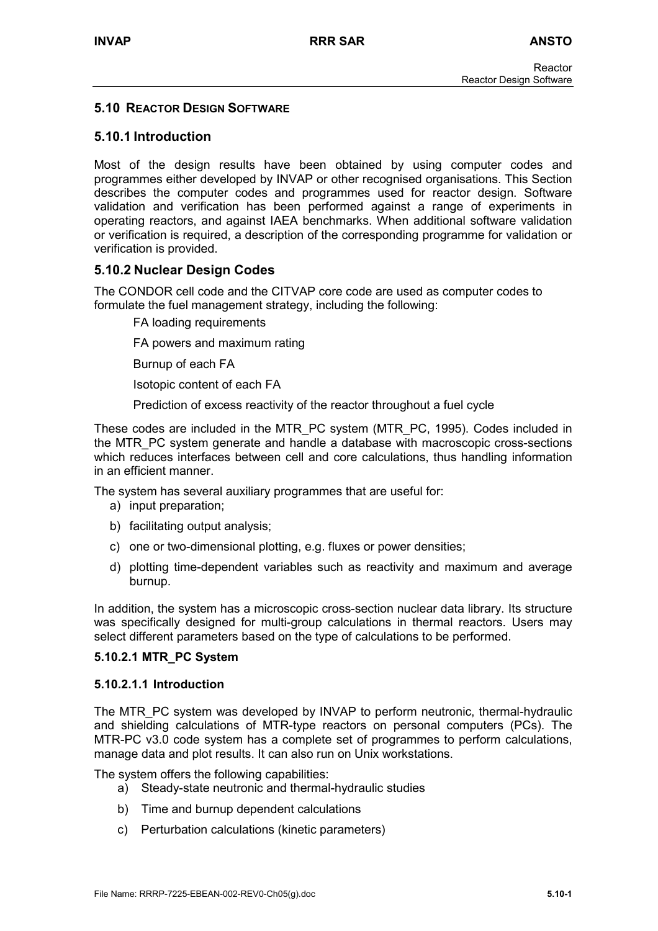## **5.10 REACTOR DESIGN SOFTWARE**

# **5.10.1 Introduction**

Most of the design results have been obtained by using computer codes and programmes either developed by INVAP or other recognised organisations. This Section describes the computer codes and programmes used for reactor design. Software validation and verification has been performed against a range of experiments in operating reactors, and against IAEA benchmarks. When additional software validation or verification is required, a description of the corresponding programme for validation or verification is provided.

## **5.10.2 Nuclear Design Codes**

The CONDOR cell code and the CITVAP core code are used as computer codes to formulate the fuel management strategy, including the following:

FA loading requirements

FA powers and maximum rating

Burnup of each FA

Isotopic content of each FA

Prediction of excess reactivity of the reactor throughout a fuel cycle

These codes are included in the MTR\_PC system (MTR\_PC, 1995). Codes included in the MTR\_PC system generate and handle a database with macroscopic cross-sections which reduces interfaces between cell and core calculations, thus handling information in an efficient manner.

The system has several auxiliary programmes that are useful for:

- a) input preparation;
- b) facilitating output analysis;
- c) one or two-dimensional plotting, e.g. fluxes or power densities;
- d) plotting time-dependent variables such as reactivity and maximum and average burnup.

In addition, the system has a microscopic cross-section nuclear data library. Its structure was specifically designed for multi-group calculations in thermal reactors. Users may select different parameters based on the type of calculations to be performed.

#### **5.10.2.1 MTR\_PC System**

#### **5.10.2.1.1 Introduction**

The MTR<sub>PC</sub> system was developed by INVAP to perform neutronic, thermal-hydraulic and shielding calculations of MTR-type reactors on personal computers (PCs). The MTR-PC v3.0 code system has a complete set of programmes to perform calculations, manage data and plot results. It can also run on Unix workstations.

The system offers the following capabilities:

- a) Steady-state neutronic and thermal-hydraulic studies
- b) Time and burnup dependent calculations
- c) Perturbation calculations (kinetic parameters)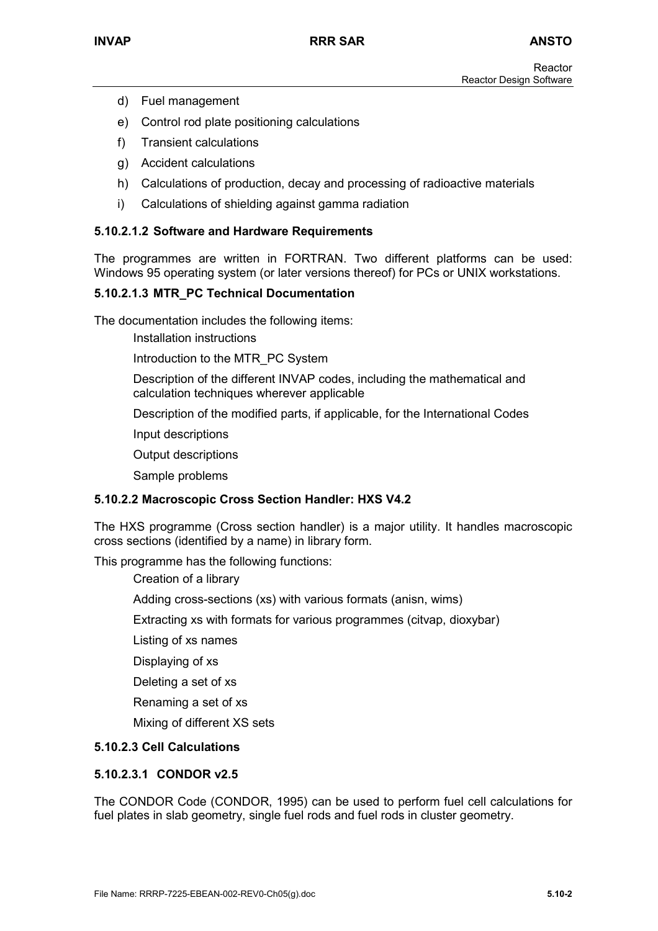- d) Fuel management
- e) Control rod plate positioning calculations
- f) Transient calculations
- g) Accident calculations
- h) Calculations of production, decay and processing of radioactive materials
- i) Calculations of shielding against gamma radiation

#### **5.10.2.1.2 Software and Hardware Requirements**

The programmes are written in FORTRAN. Two different platforms can be used: Windows 95 operating system (or later versions thereof) for PCs or UNIX workstations.

## **5.10.2.1.3 MTR\_PC Technical Documentation**

The documentation includes the following items:

Installation instructions

Introduction to the MTR\_PC System

Description of the different INVAP codes, including the mathematical and calculation techniques wherever applicable

Description of the modified parts, if applicable, for the International Codes

Input descriptions

Output descriptions

Sample problems

## **5.10.2.2 Macroscopic Cross Section Handler: HXS V4.2**

The HXS programme (Cross section handler) is a major utility. It handles macroscopic cross sections (identified by a name) in library form.

This programme has the following functions:

Creation of a library

Adding cross-sections (xs) with various formats (anisn, wims)

Extracting xs with formats for various programmes (citvap, dioxybar)

Listing of xs names

Displaying of xs

Deleting a set of xs

Renaming a set of xs

Mixing of different XS sets

## **5.10.2.3 Cell Calculations**

## **5.10.2.3.1 CONDOR v2.5**

The CONDOR Code (CONDOR, 1995) can be used to perform fuel cell calculations for fuel plates in slab geometry, single fuel rods and fuel rods in cluster geometry.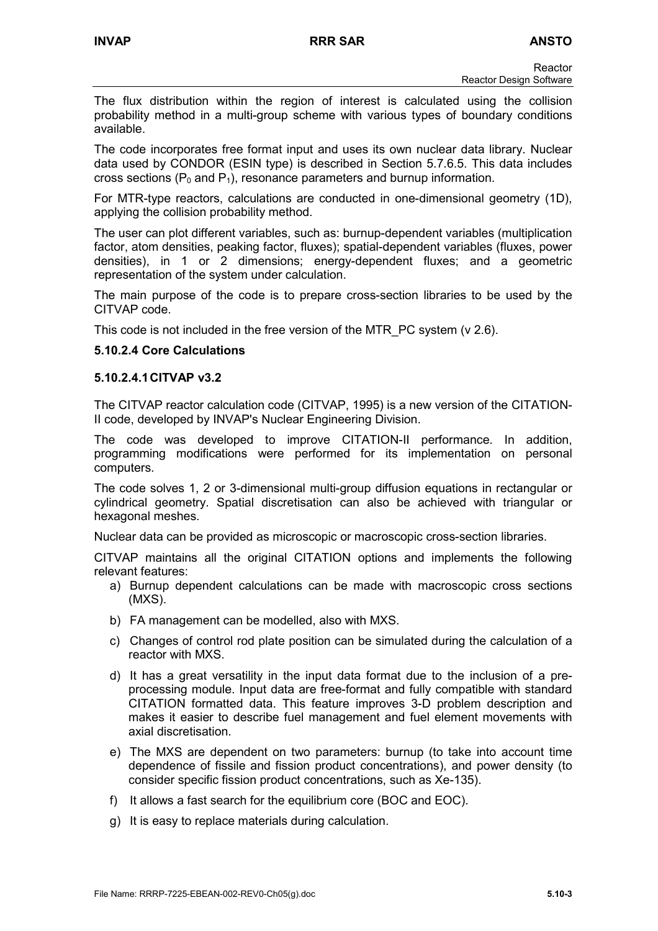The flux distribution within the region of interest is calculated using the collision probability method in a multi-group scheme with various types of boundary conditions available.

The code incorporates free format input and uses its own nuclear data library. Nuclear data used by CONDOR (ESIN type) is described in Section 5.7.6.5. This data includes cross sections ( $P_0$  and  $P_1$ ), resonance parameters and burnup information.

For MTR-type reactors, calculations are conducted in one-dimensional geometry (1D), applying the collision probability method.

The user can plot different variables, such as: burnup-dependent variables (multiplication factor, atom densities, peaking factor, fluxes); spatial-dependent variables (fluxes, power densities), in 1 or 2 dimensions; energy-dependent fluxes; and a geometric representation of the system under calculation.

The main purpose of the code is to prepare cross-section libraries to be used by the CITVAP code.

This code is not included in the free version of the MTR\_PC system (v 2.6).

## **5.10.2.4 Core Calculations**

#### **5.10.2.4.1 CITVAP v3.2**

The CITVAP reactor calculation code (CITVAP, 1995) is a new version of the CITATION-II code, developed by INVAP's Nuclear Engineering Division.

The code was developed to improve CITATION-II performance. In addition, programming modifications were performed for its implementation on personal computers.

The code solves 1, 2 or 3-dimensional multi-group diffusion equations in rectangular or cylindrical geometry. Spatial discretisation can also be achieved with triangular or hexagonal meshes.

Nuclear data can be provided as microscopic or macroscopic cross-section libraries.

CITVAP maintains all the original CITATION options and implements the following relevant features:

- a) Burnup dependent calculations can be made with macroscopic cross sections (MXS).
- b) FA management can be modelled, also with MXS.
- c) Changes of control rod plate position can be simulated during the calculation of a reactor with MXS.
- d) It has a great versatility in the input data format due to the inclusion of a preprocessing module. Input data are free-format and fully compatible with standard CITATION formatted data. This feature improves 3-D problem description and makes it easier to describe fuel management and fuel element movements with axial discretisation.
- e) The MXS are dependent on two parameters: burnup (to take into account time dependence of fissile and fission product concentrations), and power density (to consider specific fission product concentrations, such as Xe-135).
- f) It allows a fast search for the equilibrium core (BOC and EOC).
- g) It is easy to replace materials during calculation.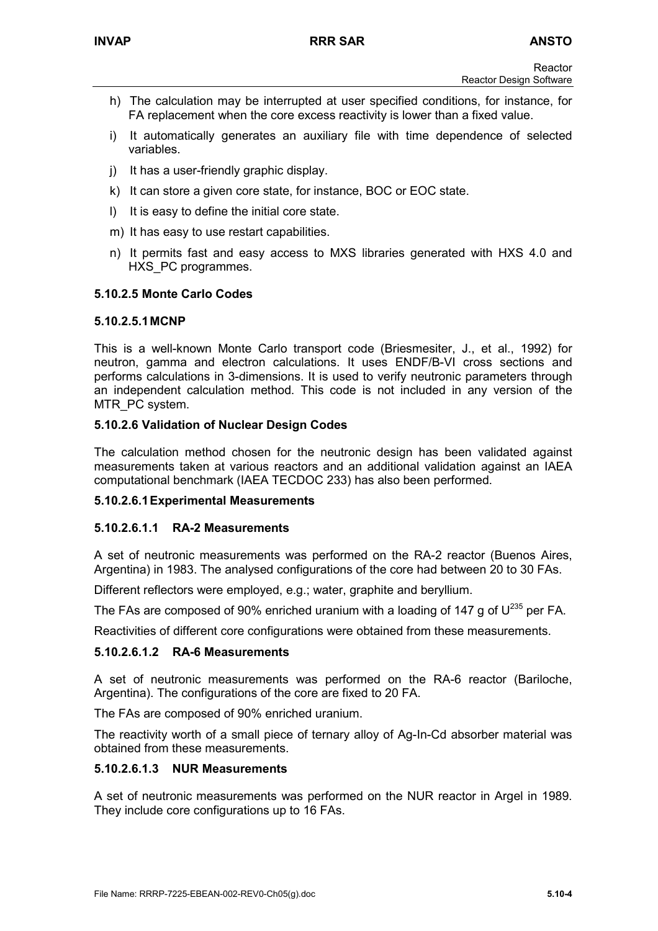- h) The calculation may be interrupted at user specified conditions, for instance, for FA replacement when the core excess reactivity is lower than a fixed value.
- i) It automatically generates an auxiliary file with time dependence of selected variables.
- j) It has a user-friendly graphic display.
- k) It can store a given core state, for instance, BOC or EOC state.
- l) It is easy to define the initial core state.
- m) It has easy to use restart capabilities.
- n) It permits fast and easy access to MXS libraries generated with HXS 4.0 and HXS PC programmes.

## **5.10.2.5 Monte Carlo Codes**

#### **5.10.2.5.1 MCNP**

This is a well-known Monte Carlo transport code (Briesmesiter, J., et al., 1992) for neutron, gamma and electron calculations. It uses ENDF/B-VI cross sections and performs calculations in 3-dimensions. It is used to verify neutronic parameters through an independent calculation method. This code is not included in any version of the MTR\_PC system.

#### **5.10.2.6 Validation of Nuclear Design Codes**

The calculation method chosen for the neutronic design has been validated against measurements taken at various reactors and an additional validation against an IAEA computational benchmark (IAEA TECDOC 233) has also been performed.

## **5.10.2.6.1 Experimental Measurements**

## **5.10.2.6.1.1 RA-2 Measurements**

A set of neutronic measurements was performed on the RA-2 reactor (Buenos Aires, Argentina) in 1983. The analysed configurations of the core had between 20 to 30 FAs.

Different reflectors were employed, e.g.; water, graphite and beryllium.

The FAs are composed of 90% enriched uranium with a loading of 147 g of  $U^{235}$  per FA.

Reactivities of different core configurations were obtained from these measurements.

## **5.10.2.6.1.2 RA-6 Measurements**

A set of neutronic measurements was performed on the RA-6 reactor (Bariloche, Argentina). The configurations of the core are fixed to 20 FA.

The FAs are composed of 90% enriched uranium.

The reactivity worth of a small piece of ternary alloy of Ag-In-Cd absorber material was obtained from these measurements.

## **5.10.2.6.1.3 NUR Measurements**

A set of neutronic measurements was performed on the NUR reactor in Argel in 1989. They include core configurations up to 16 FAs.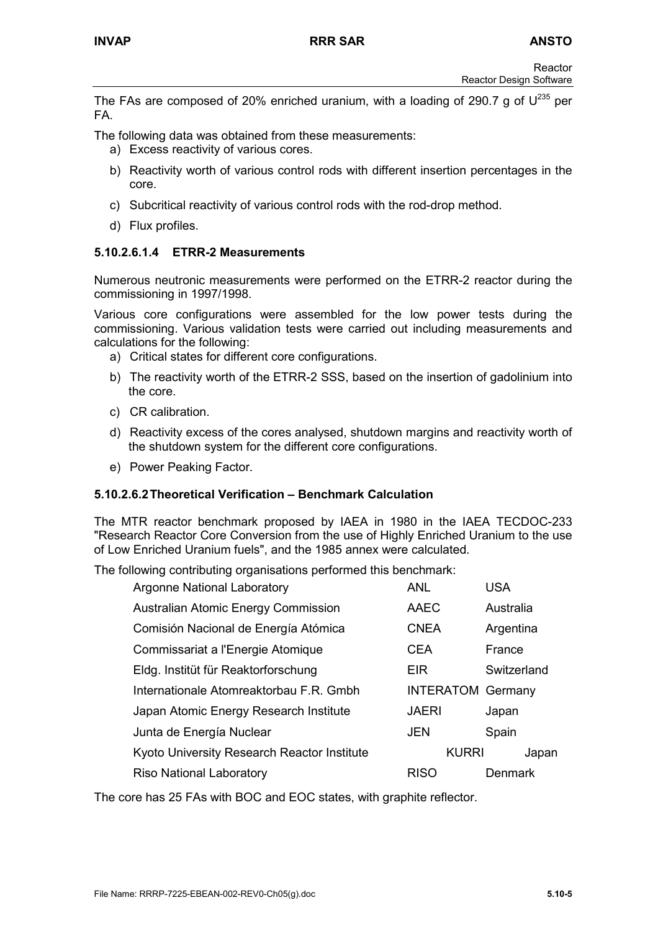The FAs are composed of 20% enriched uranium, with a loading of 290.7 g of  $U^{235}$  per FA.

The following data was obtained from these measurements:

- a) Excess reactivity of various cores.
- b) Reactivity worth of various control rods with different insertion percentages in the core.
- c) Subcritical reactivity of various control rods with the rod-drop method.
- d) Flux profiles.

## **5.10.2.6.1.4 ETRR-2 Measurements**

Numerous neutronic measurements were performed on the ETRR-2 reactor during the commissioning in 1997/1998.

Various core configurations were assembled for the low power tests during the commissioning. Various validation tests were carried out including measurements and calculations for the following:

- a) Critical states for different core configurations.
- b) The reactivity worth of the ETRR-2 SSS, based on the insertion of gadolinium into the core.
- c) CR calibration.
- d) Reactivity excess of the cores analysed, shutdown margins and reactivity worth of the shutdown system for the different core configurations.
- e) Power Peaking Factor.

## **5.10.2.6.2 Theoretical Verification – Benchmark Calculation**

The MTR reactor benchmark proposed by IAEA in 1980 in the IAEA TECDOC-233 "Research Reactor Core Conversion from the use of Highly Enriched Uranium to the use of Low Enriched Uranium fuels", and the 1985 annex were calculated.

The following contributing organisations performed this benchmark:

| Argonne National Laboratory                 | <b>ANL</b>               | USA         |
|---------------------------------------------|--------------------------|-------------|
| Australian Atomic Energy Commission         | AAEC                     | Australia   |
| Comisión Nacional de Energía Atómica        | <b>CNEA</b>              | Argentina   |
| Commissariat a l'Energie Atomique           | <b>CEA</b>               | France      |
| Eldg. Institüt für Reaktorforschung         | EIR                      | Switzerland |
| Internationale Atomreaktorbau F.R. Gmbh     | <b>INTERATOM Germany</b> |             |
| Japan Atomic Energy Research Institute      | <b>JAERI</b>             | Japan       |
| Junta de Energía Nuclear                    | <b>JEN</b>               | Spain       |
| Kyoto University Research Reactor Institute | <b>KURRI</b>             | Japan       |
| <b>Riso National Laboratory</b>             | <b>RISO</b>              | Denmark     |

The core has 25 FAs with BOC and EOC states, with graphite reflector.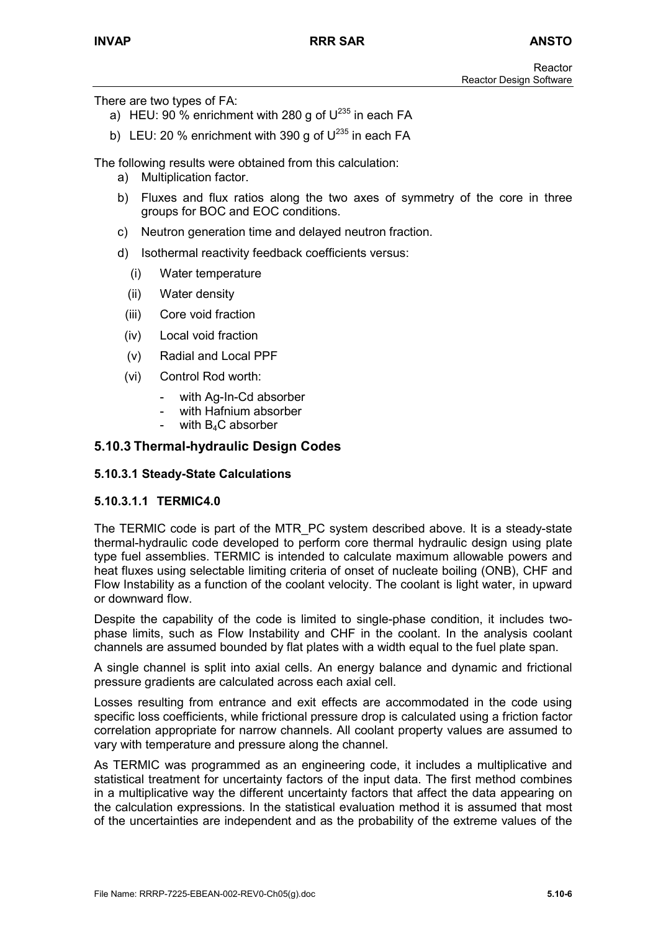There are two types of FA:

- a) HEU:  $90\%$  enrichment with 280 g of  $U^{235}$  in each FA
- b) LEU: 20 % enrichment with 390 g of  $U^{235}$  in each FA

The following results were obtained from this calculation:

- a) Multiplication factor.
- b) Fluxes and flux ratios along the two axes of symmetry of the core in three groups for BOC and EOC conditions.
- c) Neutron generation time and delayed neutron fraction.
- d) Isothermal reactivity feedback coefficients versus:
	- (i) Water temperature
	- (ii) Water density
	- (iii) Core void fraction
	- (iv) Local void fraction
	- (v) Radial and Local PPF
	- (vi) Control Rod worth:
		- with Ag-In-Cd absorber
		- with Hafnium absorber
		- with  $B_4C$  absorber

#### **5.10.3 Thermal-hydraulic Design Codes**

#### **5.10.3.1 Steady-State Calculations**

#### **5.10.3.1.1 TERMIC4.0**

The TERMIC code is part of the MTR\_PC system described above. It is a steady-state thermal-hydraulic code developed to perform core thermal hydraulic design using plate type fuel assemblies. TERMIC is intended to calculate maximum allowable powers and heat fluxes using selectable limiting criteria of onset of nucleate boiling (ONB), CHF and Flow Instability as a function of the coolant velocity. The coolant is light water, in upward or downward flow.

Despite the capability of the code is limited to single-phase condition, it includes twophase limits, such as Flow Instability and CHF in the coolant. In the analysis coolant channels are assumed bounded by flat plates with a width equal to the fuel plate span.

A single channel is split into axial cells. An energy balance and dynamic and frictional pressure gradients are calculated across each axial cell.

Losses resulting from entrance and exit effects are accommodated in the code using specific loss coefficients, while frictional pressure drop is calculated using a friction factor correlation appropriate for narrow channels. All coolant property values are assumed to vary with temperature and pressure along the channel.

As TERMIC was programmed as an engineering code, it includes a multiplicative and statistical treatment for uncertainty factors of the input data. The first method combines in a multiplicative way the different uncertainty factors that affect the data appearing on the calculation expressions. In the statistical evaluation method it is assumed that most of the uncertainties are independent and as the probability of the extreme values of the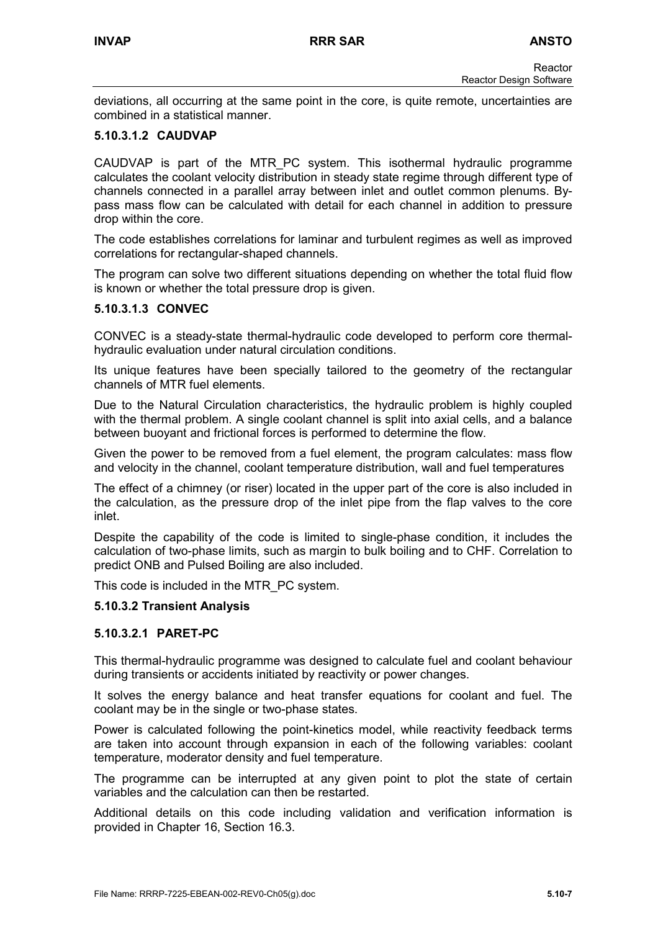deviations, all occurring at the same point in the core, is quite remote, uncertainties are combined in a statistical manner.

## **5.10.3.1.2 CAUDVAP**

CAUDVAP is part of the MTR\_PC system. This isothermal hydraulic programme calculates the coolant velocity distribution in steady state regime through different type of channels connected in a parallel array between inlet and outlet common plenums. Bypass mass flow can be calculated with detail for each channel in addition to pressure drop within the core.

The code establishes correlations for laminar and turbulent regimes as well as improved correlations for rectangular-shaped channels.

The program can solve two different situations depending on whether the total fluid flow is known or whether the total pressure drop is given.

## **5.10.3.1.3 CONVEC**

CONVEC is a steady-state thermal-hydraulic code developed to perform core thermalhydraulic evaluation under natural circulation conditions.

Its unique features have been specially tailored to the geometry of the rectangular channels of MTR fuel elements.

Due to the Natural Circulation characteristics, the hydraulic problem is highly coupled with the thermal problem. A single coolant channel is split into axial cells, and a balance between buoyant and frictional forces is performed to determine the flow.

Given the power to be removed from a fuel element, the program calculates: mass flow and velocity in the channel, coolant temperature distribution, wall and fuel temperatures

The effect of a chimney (or riser) located in the upper part of the core is also included in the calculation, as the pressure drop of the inlet pipe from the flap valves to the core inlet.

Despite the capability of the code is limited to single-phase condition, it includes the calculation of two-phase limits, such as margin to bulk boiling and to CHF. Correlation to predict ONB and Pulsed Boiling are also included.

This code is included in the MTR\_PC system.

## **5.10.3.2 Transient Analysis**

## **5.10.3.2.1 PARET-PC**

This thermal-hydraulic programme was designed to calculate fuel and coolant behaviour during transients or accidents initiated by reactivity or power changes.

It solves the energy balance and heat transfer equations for coolant and fuel. The coolant may be in the single or two-phase states.

Power is calculated following the point-kinetics model, while reactivity feedback terms are taken into account through expansion in each of the following variables: coolant temperature, moderator density and fuel temperature.

The programme can be interrupted at any given point to plot the state of certain variables and the calculation can then be restarted.

Additional details on this code including validation and verification information is provided in Chapter 16, Section 16.3.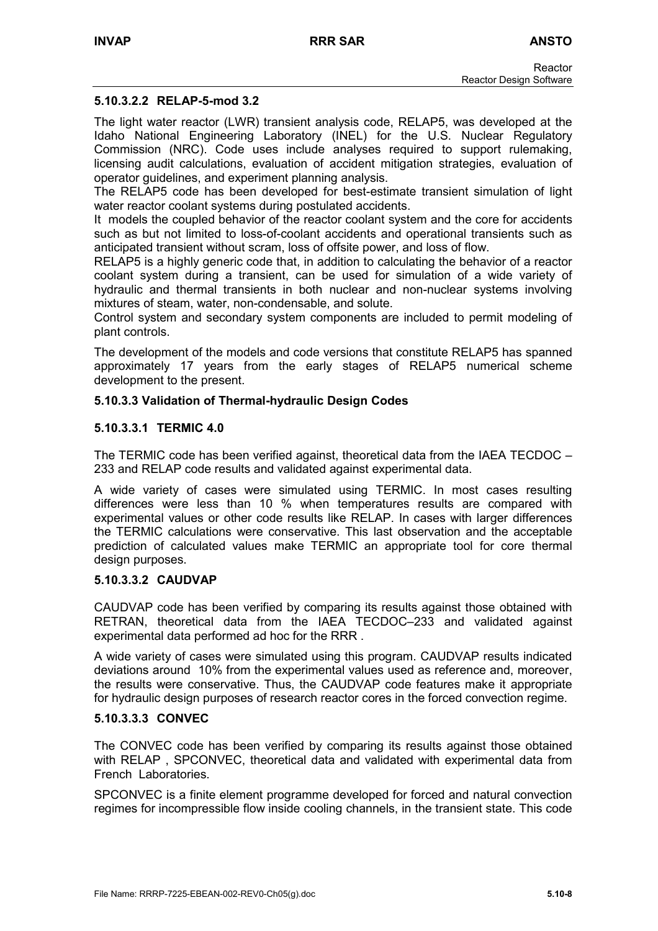## **5.10.3.2.2 RELAP-5-mod 3.2**

The light water reactor (LWR) transient analysis code, RELAP5, was developed at the Idaho National Engineering Laboratory (INEL) for the U.S. Nuclear Regulatory Commission (NRC). Code uses include analyses required to support rulemaking, licensing audit calculations, evaluation of accident mitigation strategies, evaluation of operator guidelines, and experiment planning analysis.

The RELAP5 code has been developed for best-estimate transient simulation of light water reactor coolant systems during postulated accidents.

It models the coupled behavior of the reactor coolant system and the core for accidents such as but not limited to loss-of-coolant accidents and operational transients such as anticipated transient without scram, loss of offsite power, and loss of flow.

RELAP5 is a highly generic code that, in addition to calculating the behavior of a reactor coolant system during a transient, can be used for simulation of a wide variety of hydraulic and thermal transients in both nuclear and non-nuclear systems involving mixtures of steam, water, non-condensable, and solute.

Control system and secondary system components are included to permit modeling of plant controls.

The development of the models and code versions that constitute RELAP5 has spanned approximately 17 years from the early stages of RELAP5 numerical scheme development to the present.

## **5.10.3.3 Validation of Thermal-hydraulic Design Codes**

#### **5.10.3.3.1 TERMIC 4.0**

The TERMIC code has been verified against, theoretical data from the IAEA TECDOC – 233 and RELAP code results and validated against experimental data.

A wide variety of cases were simulated using TERMIC. In most cases resulting differences were less than 10 % when temperatures results are compared with experimental values or other code results like RELAP. In cases with larger differences the TERMIC calculations were conservative. This last observation and the acceptable prediction of calculated values make TERMIC an appropriate tool for core thermal design purposes.

#### **5.10.3.3.2 CAUDVAP**

CAUDVAP code has been verified by comparing its results against those obtained with RETRAN, theoretical data from the IAEA TECDOC–233 and validated against experimental data performed ad hoc for the RRR .

A wide variety of cases were simulated using this program. CAUDVAP results indicated deviations around 10% from the experimental values used as reference and, moreover, the results were conservative. Thus, the CAUDVAP code features make it appropriate for hydraulic design purposes of research reactor cores in the forced convection regime.

## **5.10.3.3.3 CONVEC**

The CONVEC code has been verified by comparing its results against those obtained with RELAP , SPCONVEC, theoretical data and validated with experimental data from French Laboratories.

SPCONVEC is a finite element programme developed for forced and natural convection regimes for incompressible flow inside cooling channels, in the transient state. This code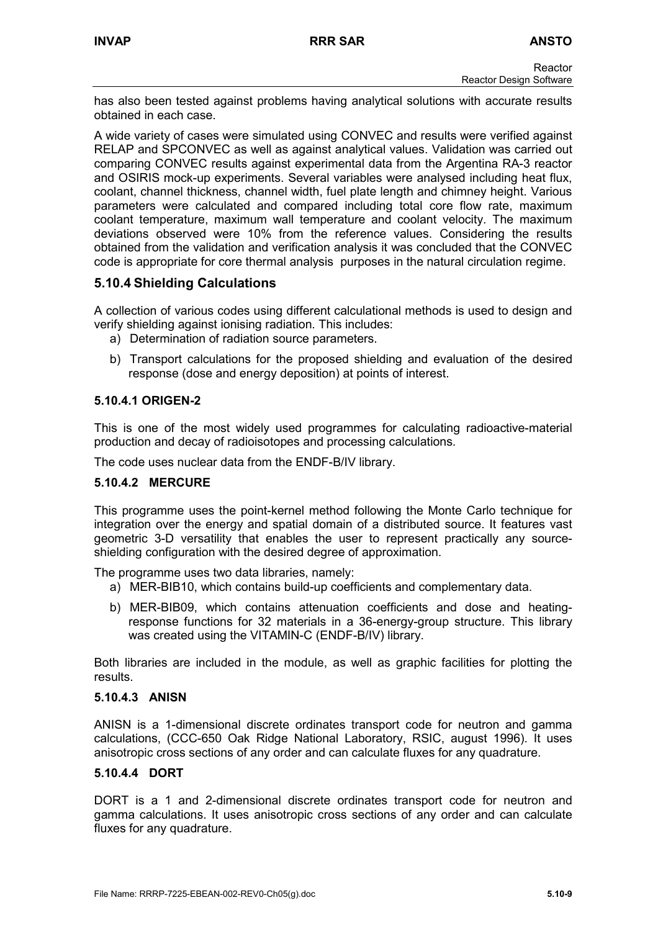has also been tested against problems having analytical solutions with accurate results obtained in each case.

A wide variety of cases were simulated using CONVEC and results were verified against RELAP and SPCONVEC as well as against analytical values. Validation was carried out comparing CONVEC results against experimental data from the Argentina RA-3 reactor and OSIRIS mock-up experiments. Several variables were analysed including heat flux, coolant, channel thickness, channel width, fuel plate length and chimney height. Various parameters were calculated and compared including total core flow rate, maximum coolant temperature, maximum wall temperature and coolant velocity. The maximum deviations observed were 10% from the reference values. Considering the results obtained from the validation and verification analysis it was concluded that the CONVEC code is appropriate for core thermal analysis purposes in the natural circulation regime.

# **5.10.4 Shielding Calculations**

A collection of various codes using different calculational methods is used to design and verify shielding against ionising radiation. This includes:

- a) Determination of radiation source parameters.
- b) Transport calculations for the proposed shielding and evaluation of the desired response (dose and energy deposition) at points of interest.

# **5.10.4.1 ORIGEN-2**

This is one of the most widely used programmes for calculating radioactive-material production and decay of radioisotopes and processing calculations.

The code uses nuclear data from the ENDF-B/IV library.

# **5.10.4.2 MERCURE**

This programme uses the point-kernel method following the Monte Carlo technique for integration over the energy and spatial domain of a distributed source. It features vast geometric 3-D versatility that enables the user to represent practically any sourceshielding configuration with the desired degree of approximation.

The programme uses two data libraries, namely:

- a) MER-BIB10, which contains build-up coefficients and complementary data.
- b) MER-BIB09, which contains attenuation coefficients and dose and heatingresponse functions for 32 materials in a 36-energy-group structure. This library was created using the VITAMIN-C (ENDF-B/IV) library.

Both libraries are included in the module, as well as graphic facilities for plotting the results.

# **5.10.4.3 ANISN**

ANISN is a 1-dimensional discrete ordinates transport code for neutron and gamma calculations, (CCC-650 Oak Ridge National Laboratory, RSIC, august 1996). It uses anisotropic cross sections of any order and can calculate fluxes for any quadrature.

# **5.10.4.4 DORT**

DORT is a 1 and 2-dimensional discrete ordinates transport code for neutron and gamma calculations. It uses anisotropic cross sections of any order and can calculate fluxes for any quadrature.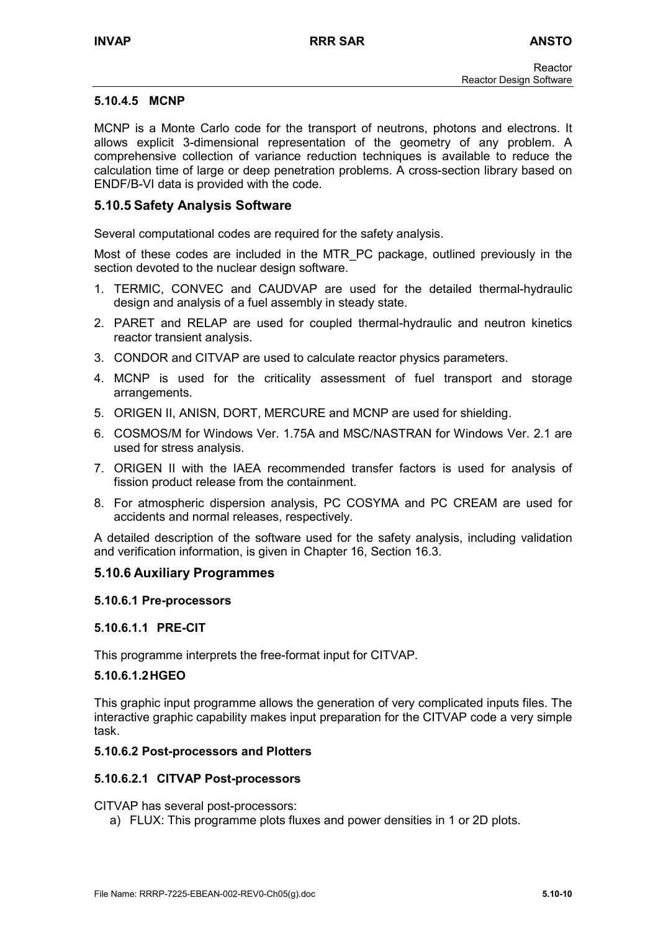## **5.10.4.5 MCNP**

MCNP is a Monte Carlo code for the transport of neutrons, photons and electrons. It allows explicit 3-dimensional representation of the geometry of any problem. A comprehensive collection of variance reduction techniques is available to reduce the calculation time of large or deep penetration problems. A cross-section library based on ENDF/B-VI data is provided with the code.

# **5.10.5 Safety Analysis Software**

Several computational codes are required for the safety analysis.

Most of these codes are included in the MTR\_PC package, outlined previously in the section devoted to the nuclear design software.

- 1. TERMIC, CONVEC and CAUDVAP are used for the detailed thermal-hydraulic design and analysis of a fuel assembly in steady state.
- 2. PARET and RELAP are used for coupled thermal-hydraulic and neutron kinetics reactor transient analysis.
- 3. CONDOR and CITVAP are used to calculate reactor physics parameters.
- 4. MCNP is used for the criticality assessment of fuel transport and storage arrangements.
- 5. ORIGEN II, ANISN, DORT, MERCURE and MCNP are used for shielding.
- 6. COSMOS/M for Windows Ver. 1.75A and MSC/NASTRAN for Windows Ver. 2.1 are used for stress analysis.
- 7. ORIGEN II with the IAEA recommended transfer factors is used for analysis of fission product release from the containment.
- 8. For atmospheric dispersion analysis, PC COSYMA and PC CREAM are used for accidents and normal releases, respectively.

A detailed description of the software used for the safety analysis, including validation and verification information, is given in Chapter 16, Section 16.3.

# **5.10.6 Auxiliary Programmes**

## **5.10.6.1 Pre-processors**

## **5.10.6.1.1 PRE-CIT**

This programme interprets the free-format input for CITVAP.

## **5.10.6.1.2 HGEO**

This graphic input programme allows the generation of very complicated inputs files. The interactive graphic capability makes input preparation for the CITVAP code a very simple task.

## **5.10.6.2 Post-processors and Plotters**

## **5.10.6.2.1 CITVAP Post-processors**

CITVAP has several post-processors:

a) FLUX: This programme plots fluxes and power densities in 1 or 2D plots.